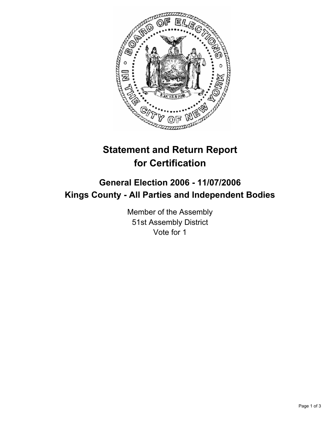

# **Statement and Return Report for Certification**

# **General Election 2006 - 11/07/2006 Kings County - All Parties and Independent Bodies**

Member of the Assembly 51st Assembly District Vote for 1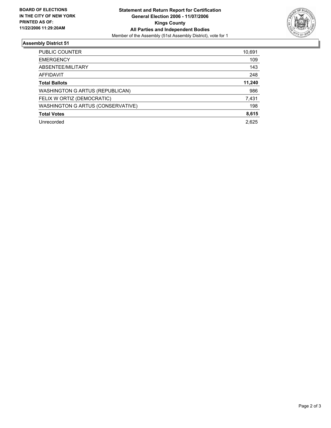

## **Assembly District 51**

| PUBLIC COUNTER                    | 10,691 |
|-----------------------------------|--------|
| <b>EMERGENCY</b>                  | 109    |
| ABSENTEE/MILITARY                 | 143    |
| AFFIDAVIT                         | 248    |
| <b>Total Ballots</b>              | 11,240 |
| WASHINGTON G ARTUS (REPUBLICAN)   | 986    |
| FELIX W ORTIZ (DEMOCRATIC)        | 7,431  |
| WASHINGTON G ARTUS (CONSERVATIVE) | 198    |
| <b>Total Votes</b>                | 8,615  |
| Unrecorded                        | 2,625  |